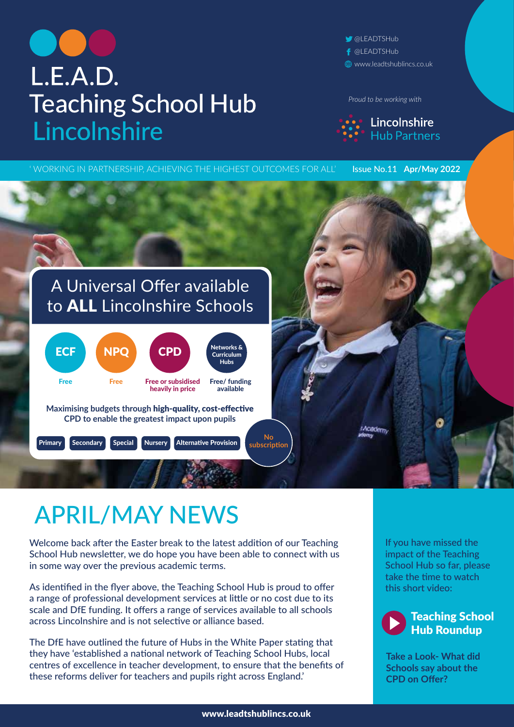## L.E.A.D. **Teaching School Hub** Lincolnshire

**OLEADTSHub** f @LEADTSHub www.leadtshublincs.co.uk

*Proud to be working with*



' WORKING IN PARTNERSHIP, ACHIEVING THE HIGHEST OUTCOMES FOR ALL' Issue No.11 **Apr/May 2022** A Universal Offer available to ALL Lincolnshire Schools  $\textsf{ECF}$  NPQ CPD  $\left\{\begin{array}{c} \textsf{Networks} \ \textsf{Curir} \ \textsf{Curir} \end{array}\right.$ Curriculum Hubs Free Free Free or subsidised Free/ funding heavily in price available **Maximising budgets through** high-quality, cost-effective **CPD to enable the greatest impact upon pupils** Academy **No**  Primary Secondary Special Nursery Alternative Provision **subscription** 

## APRIL/MAY NEWS

Welcome back after the Easter break to the latest addition of our Teaching School Hub newsletter, we do hope you have been able to connect with us in some way over the previous academic terms.

As identified in the flyer above, the Teaching School Hub is proud to offer a range of professional development services at little or no cost due to its scale and DfE funding. It offers a range of services available to all schools across Lincolnshire and is not selective or alliance based.

The DfE have outlined the future of Hubs in the White Paper stating that they have 'established a national network of Teaching School Hubs, local centres of excellence in teacher development, to ensure that the benefits of these reforms deliver for teachers and pupils right across England.'

If you have missed the impact of the Teaching [School Hub so far, please](https://vimeo.com/engaginge/review/693639697/a4564f59a5)  take the time to watch this short video:



**Take a Look- What did Schools say about the CPD on Offer?**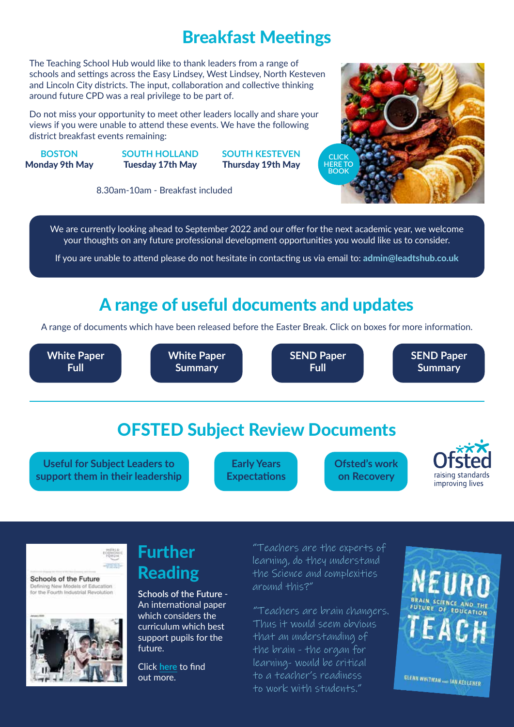## Breakfast Meetings

The Teaching School Hub would like to thank leaders from a range of schools and settings across the Easy Lindsey, West Lindsey, North Kesteven and Lincoln City districts. The input, collaboration and collective thinking around future CPD was a real privilege to be part of.

Do not miss your opportunity to meet o[ther leaders locally and share your](https://forms.office.com/Pages/ResponsePage.aspx?id=HCBDF7GBoEOqWbJW_OwBUUWaoVbtveBAirH19dsSmnlUQ0JNWEhYTlk3OTlOQzhHMVhINko1Vk9QMCQlQCNjPTEu)  views if you were unable to attend these events. We have the following district breakfast events remaining:

**BOSTON** Monday 9th May **SOUTH HOLLAND** Tuesday 17th May

**SOUTH KESTEVEN** Thursday 19th May



8.30am-10am - Breakfast included

We are currently looking ahead to September 2022 and our offer for the next academic year, we welcome your thoughts on any future professional development opportunities you would like us to consider.

If you are unable to attend please do not hesitate in contacting us via email to: admin@leadtshub.co.uk

## A range of useful documents and updates

A range of documents which have been released before the Easter Break. Click on boxes for more information.

**[White Paper](https://www.gov.uk/government/news/schools-white-paper-delivers-real-action-to-level-up-education)  Full**



**[SEND Paper](https://assets.publishing.service.gov.uk/government/uploads/system/uploads/attachment_data/file/1063620/SEND_review_right_support_right_place_right_time_accessible.pdf)  Full**

**[SEND Paper](https://drive.google.com/file/d/1qj1O7X8Rb552DSNoAy1Ye8SAbplTREGI/view)  Summary**

## OFSTED Subject Review Documents

**Useful for Subject Leaders to [support them in their leadership](https://www.leadtshublincs.co.uk/page/?title=Curriculum+Ofsted+Subject+Reviews&pid=27)**

**Early Years [Expectations](https://www.gov.uk/government/publications/ofsted-eif-inspections-and-the-eyfs/the-eyfs-in-schools)** **[Ofsted's work](https://www.gov.uk/government/speeches/amanda-spielman-at-the-nursery-world-business-summit-2022?utm_medium=email&utm_campaign=govuk-notifications-topic&utm_source=afa7ef13-8152-41d1-a399-fd7f53c9c94d&utm_content=daily)  on Recovery**



Schools of the Future

Defining New Models of Education<br>for the Fourth Industrial Revolution



## Further Reading

**Schools of the Future** - An international paper which considers the [curriculum which bes](https://www3.weforum.org/docs/WEF_Schools_of_the_Future_Report_2019.pdf)t support pupils for the future.

Click **here** to find out more.

"Teachers are the experts of learning, do they understand the Science and complexities around this?"

"Teachers are brain changers. Thus it would seem obvious that an understanding of the brain - the organ for learning- would be critical to a teacher's readiness to work with students."

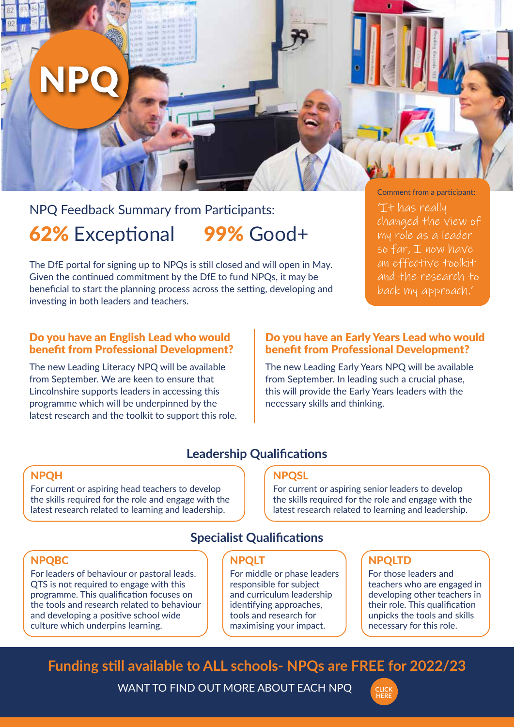# NPQ

## NPQ Feedback Summary from Participants: 62% Exceptional 99% Good+

The DfE portal for signing up to NPQs is still closed and will open in May. Given the continued commitment by the DfE to fund NPQs, it may be beneficial to start the planning process across the setting, developing and investing in both leaders and teachers.

Comment from a participant: 'It has really changed the view of my role as a leader so far,  $I$  now have an effective toolkit and the research to back my approach.'

#### Do you have an English Lead who would benefit from Professional Development?

The new Leading Literacy NPQ will be available from September. We are keen to ensure that Lincolnshire supports leaders in accessing this programme which will be underpinned by the latest research and the toolkit to support this role.

#### Do you have an Early Years Lead who would benefit from Professional Development?

The new Leading Early Years NPQ will be available from September. In leading such a crucial phase, this will provide the Early Years leaders with the necessary skills and thinking.

#### **Leadership Qualifications**

#### NPQH

For current or aspiring head teachers to develop the skills required for the role and engage with the latest research related to learning and leadership.

#### **NPOSL**

For current or aspiring senior leaders to develop the skills required for the role and engage with the latest research related to learning and leadership.

#### **Specialist Qualifications**

#### NPQBC

For leaders of behaviour or pastoral leads. QTS is not required to engage with this programme. This qualification focuses on the tools and research related to behaviour and developing a positive school wide culture which underpins learning.

#### NPQLT

For middle or phase leaders responsible for subject and curriculum leadership identifying approaches, tools and research for maximising your impact.

#### NPQLTD

For those leaders and teachers who are engaged in developing other teachers in their role. This qualification unpicks the tools and skills necessary for this role.

## **Funding still available to ALL schools- NPQs a[re FREE for 202](https://www.leadtshublincs.co.uk/page/?title=NPQ+Programmes&pid=23)2/23**

WANT TO FIND OUT MORE ABOUT EACH NPQ

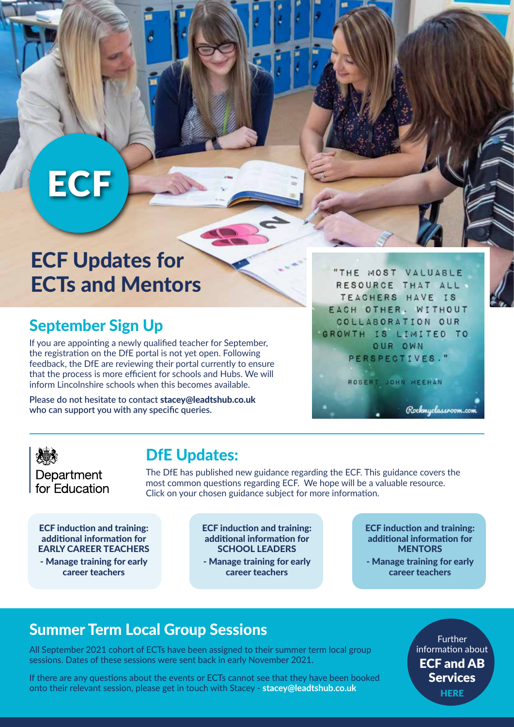## **ECF**

## ECF Updates for ECTs and Mentors

## September Sign Up

If you are appointing a newly qualified teacher for September, the registration on the DfE portal is not yet open. Following feedback, the DfE are reviewing their portal currently to ensure that the process is more efficient for schools and Hubs. We will inform Lincolnshire schools when this becomes available.

**Please do not hesitate to contact** stacey@leadtshub.co.uk **who can support you with any specific queries.**

"THE MOST VALUABLE RESOURCE THAT ALL TEACHERS HAVE IS EACH OTHER, WITHOUT COLLABORATION OUR GROWTH IS LIMITED TO OUR OWN PERSPECTIVES."

ROBERT JOHN MEEHAN

Department for Education

## DfE Updates:

The DfE has published new guidance regarding the ECF. This guidance covers the most common questions regarding ECF. We hope will be a valuable resource. Click on your chosen guidance subject for more information.

ECF induction and training: additional information for [EARLY CAREER TEACHERS](https://manage-training-for-early-career-teachers.education.gov.uk/pages/ect-additional-information)

- Manage training for early career teachers

[ECF induction and training:](https://manage-training-for-early-career-teachers.education.gov.uk/pages/school-leader-additional-information)  additional information for SCHOOL LEADERS

- Manage training for early career teachers

[ECF induction and training:](https://manage-training-for-early-career-teachers.education.gov.uk/pages/mentor-additional-information)  additional information for **MENTORS** 

Rockmyclassroom.com

- Manage training for early career teachers

### Summer Term Local Group Sessions

All September 2021 cohort of ECTs have been assigned to their summer term local group sessions. Dates of these sessions were sent back in early November 2021.

If there are any questions about the events or ECTs cannot see that they have been booked onto their relevant session, please get in touch with Stacey - **stacey@leadtshub.co.uk**

Further information about [ECF and AB](https://www.leadtshublincs.co.uk/page/?title=ITT%2FEarly+Career%2FAB&pid=7)  Services **HERE**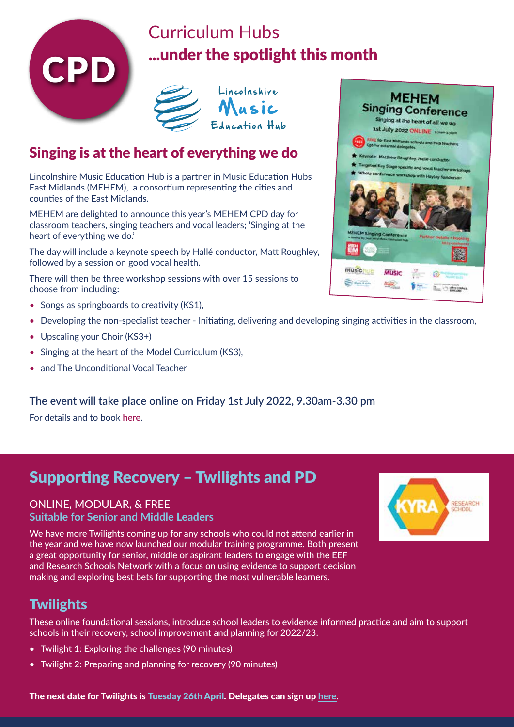

## Curriculum Hubs **...under the spotlight this month**<br>C<sub>PD</sub>



### Singing is at the heart of everything we do

Lincolnshire Music Education Hub is a partner in Music Education Hubs East Midlands (MEHEM), a consortium representing the cities and counties of the East Midlands.

MEHEM are delighted to announce this year's MEHEM CPD day for classroom teachers, singing teachers and vocal leaders; 'Singing at the heart of everything we do.'

The day will include a keynote speech by Hallé conductor, Matt Roughley, followed by a session on good vocal health.

There will then be three workshop sessions with over 15 sessions to choose from including:

- Songs as springboards to creativity (KS1),
- Developing the non-specialist teacher Initiating, delivering and developing singing activities in the classroom,
- Upscaling your Choir (KS3+)
- Singing at the heart of the Model Curriculum (KS3),
- and The Unconditional Vocal Teacher

#### **The eve[nt will take place online on Friday 1st July](https://www.mehem.org/cpd/mehem-conference-2022/mehem-conference-2022.aspx#book) 2022, 9.30am-3.30 pm**

For details and to book **here**.

## Supporting Recovery – Twilights and PD

#### ONLINE, MODULAR, & FREE **Suitable for Senior and Middle Leaders**

We have more Twilights coming up for any schools who could not attend earlier in the year and we have now launched our modular training programme. Both present a great opportunity for senior, middle or aspirant leaders to engage with the EEF and Research Schools Network with a focus on using evidence to support decision making and exploring best bets for supporting the most vulnerable learners.



### **Twilights**

These online foundational sessions, introduce scho[ol leaders to evidence informed practice](https://forms.office.com/pages/responsepage.aspx?id=dQgwLceZsEOZQ_rFNhedWXJDMfyX-u1MmWYYMevs6LVUOFFORTJWVzAxSlBUTzRRUjNETVlVSDBCMC4u) and aim to support schools in their recovery, school improvement and planning for 2022/23.

- Twilight 1: Exploring the challenges (90 minutes)
- Twilight 2: Preparing and planning for recovery (90 minutes)



The next date for Twilights is Tuesday 26th April. Delegates can sign up here.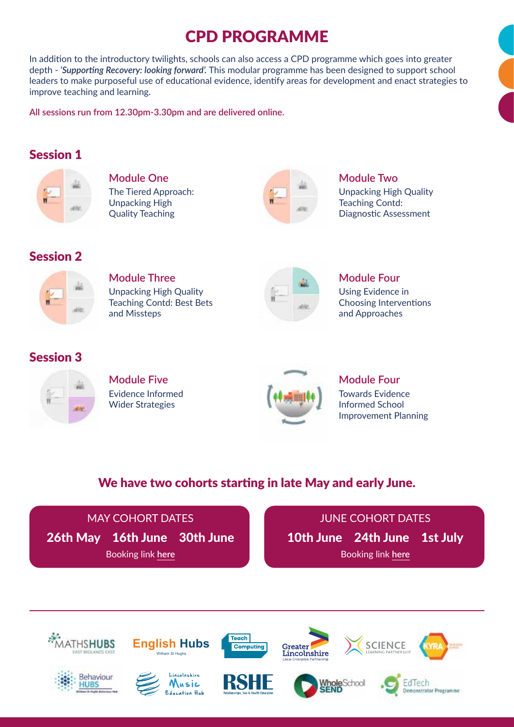## CPD PROGRAMME

In addition to the introductory twilights, schools can also access a CPD programme which goes into greater depth - *'Supporting Recovery: looking forward'.* This modular programme has been designed to support school leaders to make purposeful use of educational evidence, identify areas for development and enact strategies to improve teaching and learning.

**All sessions run from 12.30pm-3.30pm and are delivered online.**

#### Session 1



**Module One** The Tiered Approach: Unpacking High Quality Teaching



**Module Two**

Unpacking High Quality Teaching Contd: Diagnostic Assessment

#### Session 2



**Module Three** Unpacking High Quality Teaching Contd: Best Bets and Missteps



#### **Module Four** Using Evidence in

Choosing Interventions and Approaches

#### Session 3



**Module Five** Evidence Informed Wider Strategies



#### **Module Four** Towards Evidence Informed School Improvement Planning

#### We have two cohorts starting in late May and early June.



JUNE COHORT DATES 1[0th June 24th June 1st Ju](https://forms.office.com/pages/responsepage.aspx?id=dQgwLceZsEOZQ_rFNhedWXJDMfyX-u1MmWYYMevs6LVURFhOSkk4R1hGRVhQT0E1RlpONUJOUDI3MS4u)ly Booking link **here**